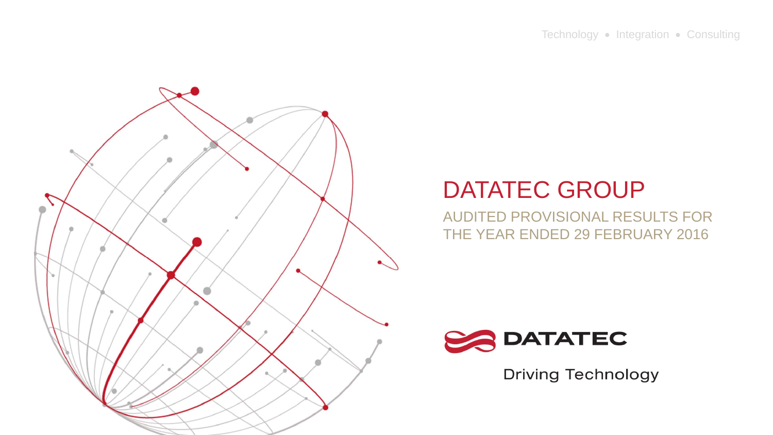

AUDITED PROVISIONAL RESULTS FOR THE YEAR ENDED 29 FEBRUARY 2016



**Driving Technology**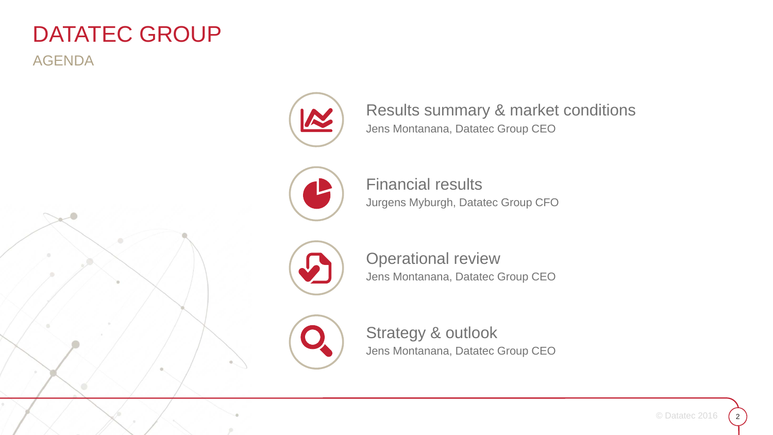AGENDA





Results summary & market conditions Jens Montanana, Datatec Group CEO



Financial resultsJurgens Myburgh, Datatec Group CFO



Operational review Jens Montanana, Datatec Group CEO



Strategy & outlook Jens Montanana, Datatec Group CEO

2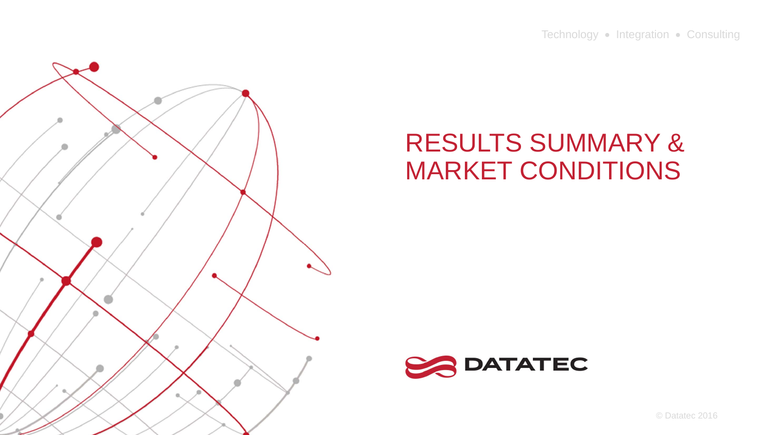Technology • Integration • Consulting



# RESULTS SUMMARY & MARKET CONDITIONS



© Datatec 2016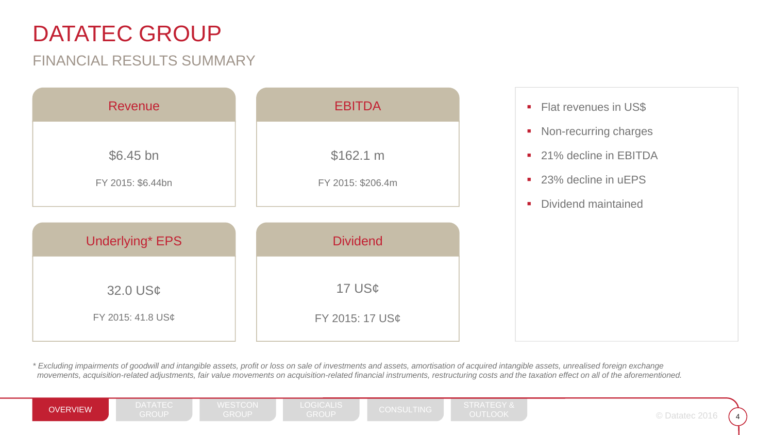#### FINANCIAL RESULTS SUMMARY

| <b>Revenue</b>         | <b>EBITDA</b>      |
|------------------------|--------------------|
| \$6.45 bn              | \$162.1 m          |
| FY 2015: \$6.44bn      | FY 2015: \$206.4m  |
| <b>Underlying* EPS</b> | <b>Dividend</b>    |
| 32.0 US¢               | 17 $US\mathcal{C}$ |
| FY 2015: 41.8 US¢      | FY 2015: 17 US¢    |

- **Fiat revenues in US\$**
- $\blacksquare$ Non-recurring charges
- $\mathcal{L}_{\mathcal{A}}$ 21% decline in EBITDA
- 23% decline in uEPS
- $\mathcal{L}_{\mathcal{A}}$ Dividend maintained

*\* Excluding impairments of goodwill and intangible assets, profit or loss on sale of investments and assets, amortisation of acquired intangible assets, unrealised foreign exchange movements, acquisition-related adjustments, fair value movements on acquisition-related financial instruments, restructuring costs and the taxation effect on all of the aforementioned.*

OVERVIEW GROUP GROUP GROUP GROUP CONSULTING OUTLOOK DESCRIPTIONS ON THE OUTLOOK

CONSULTING STRATEGY & OUTLOOK <sup>4</sup>

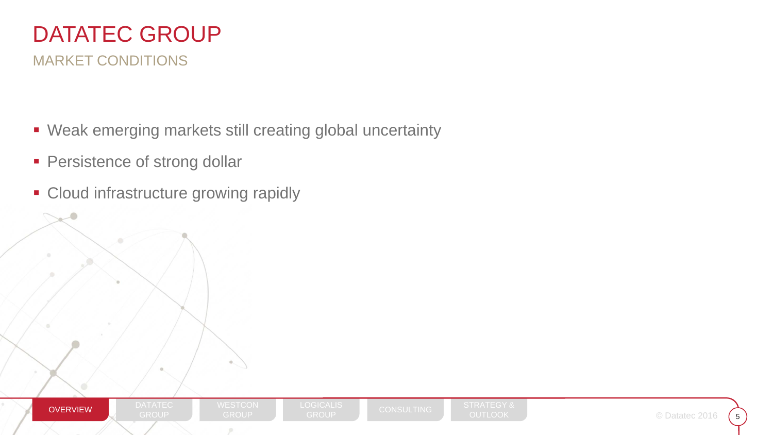

- Weak emerging markets still creating global uncertainty
- **Persistence of strong dollar**
- **Cloud infrastructure growing rapidly**

DATATEC

ø.

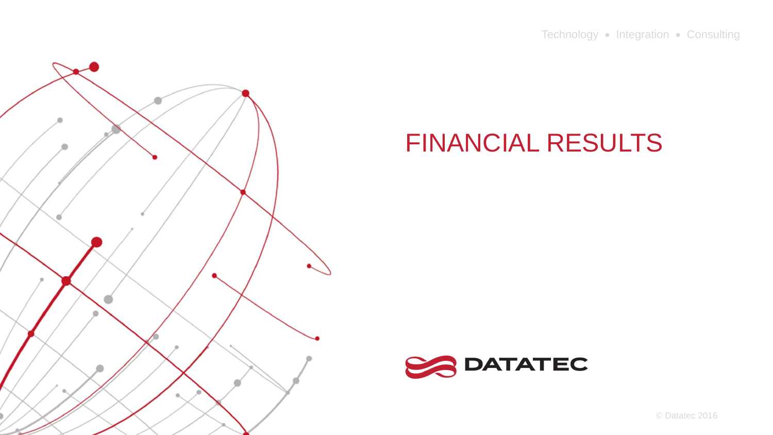Technology • Integration • Consulting



# FINANCIAL RESULTS



© Datatec 2016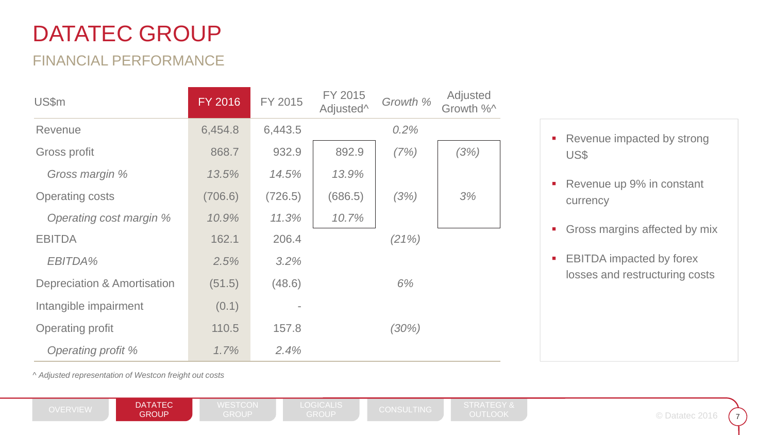#### FINANCIAL PERFORMANCE

| <b>US\$m</b>                           | <b>FY 2016</b> | FY 2015 | FY 2015<br>Adjusted <sup>^</sup> | Growth % | Adjusted<br>Growth %^ |
|----------------------------------------|----------------|---------|----------------------------------|----------|-----------------------|
| Revenue                                | 6,454.8        | 6,443.5 |                                  | 0.2%     |                       |
| Gross profit                           | 868.7          | 932.9   | 892.9                            | (7%)     | (3%)                  |
| Gross margin %                         | 13.5%          | 14.5%   | 13.9%                            |          |                       |
| <b>Operating costs</b>                 | (706.6)        | (726.5) | (686.5)                          | (3%)     | 3%                    |
| Operating cost margin %                | 10.9%          | 11.3%   | 10.7%                            |          |                       |
| <b>EBITDA</b>                          | 162.1          | 206.4   |                                  | (21%)    |                       |
| EBITDA%                                | 2.5%           | 3.2%    |                                  |          |                       |
| <b>Depreciation &amp; Amortisation</b> | (51.5)         | (48.6)  |                                  | 6%       |                       |
| Intangible impairment                  | (0.1)          |         |                                  |          |                       |
| <b>Operating profit</b>                | 110.5          | 157.8   |                                  | (30%)    |                       |
| Operating profit %                     | 1.7%           | 2.4%    |                                  |          |                       |

- $\blacksquare$  Revenue impacted by strong US\$
- $\blacksquare$  Revenue up 9% in constant currency
- $\blacksquare$ Gross margins affected by mix
- $\blacksquare$  EBITDA impacted by forex losses and restructuring costs

^ *Adjusted representation of Westcon freight out costs*

OVERVIEW **DATATEC DEST**ON WESTCON LOGICALIS CONSULTING STRATEGY &<br>GROUP GROUP GROUP CROUP GROUP OUTLOOK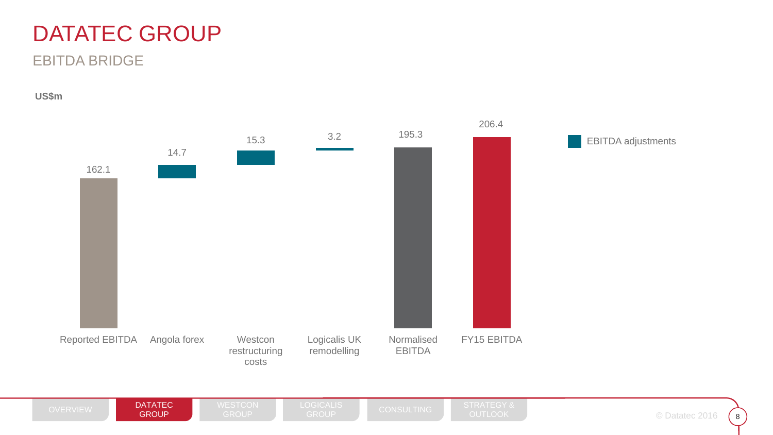#### EBITDA BRIDGE

**US\$m**



**GROUP** 

 $8$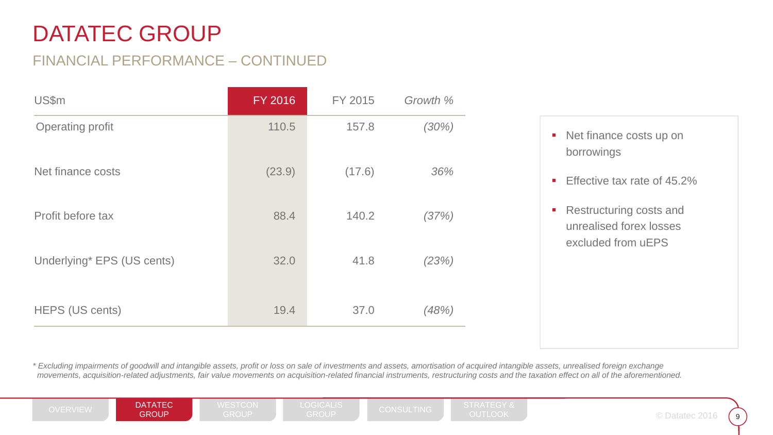### FINANCIAL PERFORMANCE – CONTINUED

| US\$m                      | FY 2016 | FY 2015 | Growth % |  |
|----------------------------|---------|---------|----------|--|
| <b>Operating profit</b>    | 110.5   | 157.8   | (30%)    |  |
| Net finance costs          | (23.9)  | (17.6)  | 36%      |  |
| Profit before tax          | 88.4    | 140.2   | (37%)    |  |
| Underlying* EPS (US cents) | 32.0    | 41.8    | (23%)    |  |
| HEPS (US cents)            | 19.4    | 37.0    | (48%)    |  |

- Net finance costs up on borrowings
- Effective tax rate of 45.2%
- Restructuring costs and unrealised forex losses excluded from uEPS

*\* Excluding impairments of goodwill and intangible assets, profit or loss on sale of investments and assets, amortisation of acquired intangible assets, unrealised foreign exchange movements, acquisition-related adjustments, fair value movements on acquisition-related financial instruments, restructuring costs and the taxation effect on all of the aforementioned.*

OVERVIEW **DATATEC DEST**ON WESTCON LOGICALIS CONSULTING STRATEGY &<br>GROUP GROUP GROUP CROUP GROUP OUTLOOK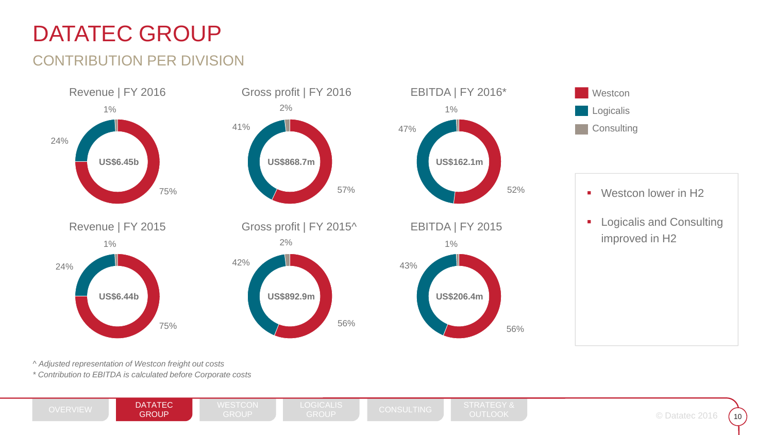### CONTRIBUTION PER DIVISION



*^ Adjusted representation of Westcon freight out costs*

*\* Contribution to EBITDA is calculated before Corporate costs*

OVERVIEW **DATATEC DEST**ON WESTCON LOGICALIS CONSULTING STRATEGY &<br>GROUP GROUP GROUP CROUP GROUP OUTLOOK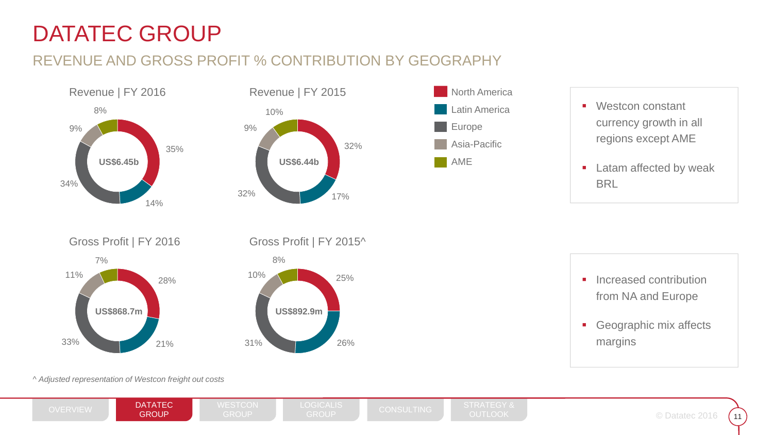### REVENUE AND GROSS PROFIT % CONTRIBUTION BY GEOGRAPHY







- $\mathcal{L}_{\mathcal{A}}$  Westcon constant currency growth in all regions except AME
- $\mathcal{L}_{\mathcal{A}}$  Latam affected by weak **BRL**







*^ Adjusted representation of Westcon freight out costs*

OVERVIEW **DATATEC DEST**ON WESTCON LOGICALIS CONSULTING STRATEGY &<br>GROUP GROUP GROUP CROUP GROUP OUTLOOK

 $\odot$  Datatec 2016  $\big($  11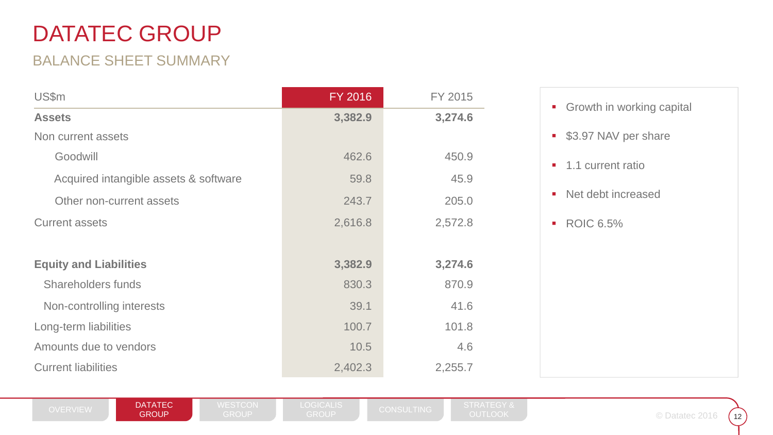### BALANCE SHEET SUMMARY

| US\$m                                 | <b>FY 2016</b> | FY 2015 |
|---------------------------------------|----------------|---------|
| <b>Assets</b>                         | 3,382.9        | 3,274.6 |
| Non current assets                    |                |         |
| Goodwill                              | 462.6          | 450.9   |
| Acquired intangible assets & software | 59.8           | 45.9    |
| Other non-current assets              | 243.7          | 205.0   |
| <b>Current assets</b>                 | 2,616.8        | 2,572.8 |
|                                       |                |         |
| <b>Equity and Liabilities</b>         | 3,382.9        | 3,274.6 |
| <b>Shareholders funds</b>             | 830.3          | 870.9   |
| Non-controlling interests             | 39.1           | 41.6    |
| Long-term liabilities                 | 100.7          | 101.8   |
| Amounts due to vendors                | 10.5           | 4.6     |
| <b>Current liabilities</b>            | 2,402.3        | 2,255.7 |



 $\frac{1}{2}$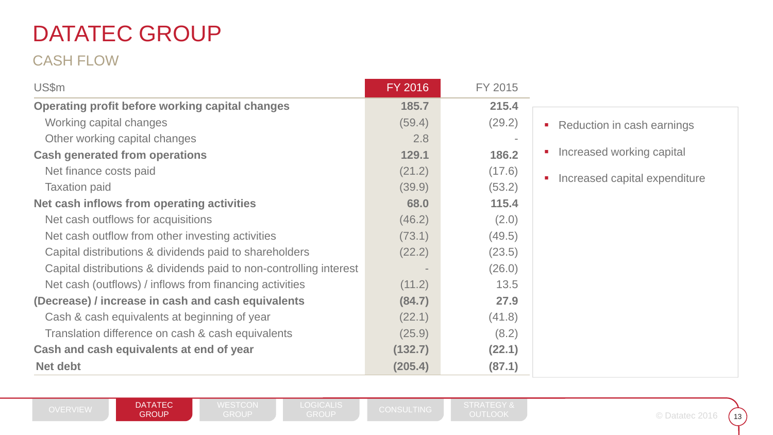### CASH FLOW

| US\$m                                                              | FY 2016 | FY 2015 |                               |
|--------------------------------------------------------------------|---------|---------|-------------------------------|
| <b>Operating profit before working capital changes</b>             | 185.7   | 215.4   |                               |
| Working capital changes                                            | (59.4)  | (29.2)  | • Reduction in cash earnings  |
| Other working capital changes                                      | 2.8     |         |                               |
| <b>Cash generated from operations</b>                              | 129.1   | 186.2   | Increased working capital     |
| Net finance costs paid                                             | (21.2)  | (17.6)  |                               |
| <b>Taxation paid</b>                                               | (39.9)  | (53.2)  | Increased capital expenditure |
| Net cash inflows from operating activities                         | 68.0    | 115.4   |                               |
| Net cash outflows for acquisitions                                 | (46.2)  | (2.0)   |                               |
| Net cash outflow from other investing activities                   | (73.1)  | (49.5)  |                               |
| Capital distributions & dividends paid to shareholders             | (22.2)  | (23.5)  |                               |
| Capital distributions & dividends paid to non-controlling interest |         | (26.0)  |                               |
| Net cash (outflows) / inflows from financing activities            | (11.2)  | 13.5    |                               |
| (Decrease) / increase in cash and cash equivalents                 | (84.7)  | 27.9    |                               |
| Cash & cash equivalents at beginning of year                       | (22.1)  | (41.8)  |                               |
| Translation difference on cash & cash equivalents                  | (25.9)  | (8.2)   |                               |
| Cash and cash equivalents at end of year                           | (132.7) | (22.1)  |                               |
| <b>Net debt</b>                                                    | (205.4) | (87.1)  |                               |

 $\frac{13}{13}$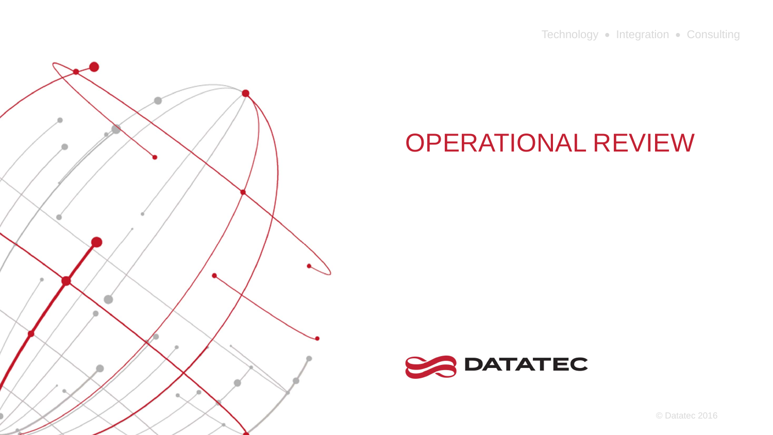Technology • Integration • Consulting



# OPERATIONAL REVIEW



© Datatec 2016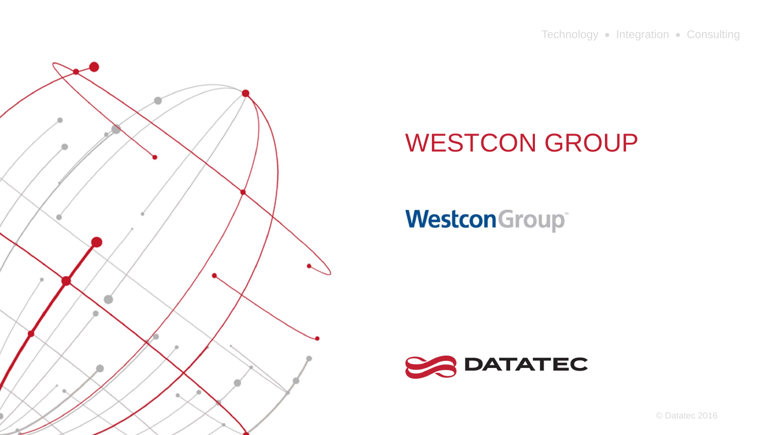

# **Westcon**Group®



© Datatec 2016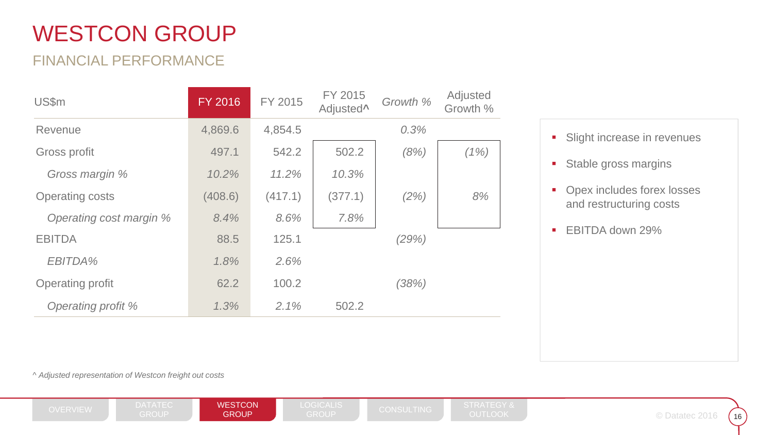### FINANCIAL PERFORMANCE

| <b>US\$m</b>            | <b>FY 2016</b> | FY 2015 | FY 2015<br>Adjusted <sup>^</sup> | Growth % | Adjusted<br>Growth % |
|-------------------------|----------------|---------|----------------------------------|----------|----------------------|
| Revenue                 | 4,869.6        | 4,854.5 |                                  | 0.3%     |                      |
| Gross profit            | 497.1          | 542.2   | 502.2                            | (8%)     | (1%)                 |
| Gross margin %          | 10.2%          | 11.2%   | 10.3%                            |          |                      |
| <b>Operating costs</b>  | (408.6)        | (417.1) | (377.1)                          | (2%)     | 8%                   |
| Operating cost margin % | 8.4%           | 8.6%    | 7.8%                             |          |                      |
| <b>EBITDA</b>           | 88.5           | 125.1   |                                  | (29%)    |                      |
| EBITDA%                 | 1.8%           | 2.6%    |                                  |          |                      |
| Operating profit        | 62.2           | 100.2   |                                  | (38%)    |                      |
| Operating profit %      | 1.3%           | 2.1%    | 502.2                            |          |                      |

|  |  |  |  | Slight increase in revenues |
|--|--|--|--|-----------------------------|
|--|--|--|--|-----------------------------|

 $\blacksquare$ Stable gross margins

 $\mathcal{L}_{\mathcal{A}}$  Opex includes forex losses and restructuring costs

 $\mathcal{L}_{\mathcal{A}}$ EBITDA down 29%

^ *Adjusted representation of Westcon freight out costs*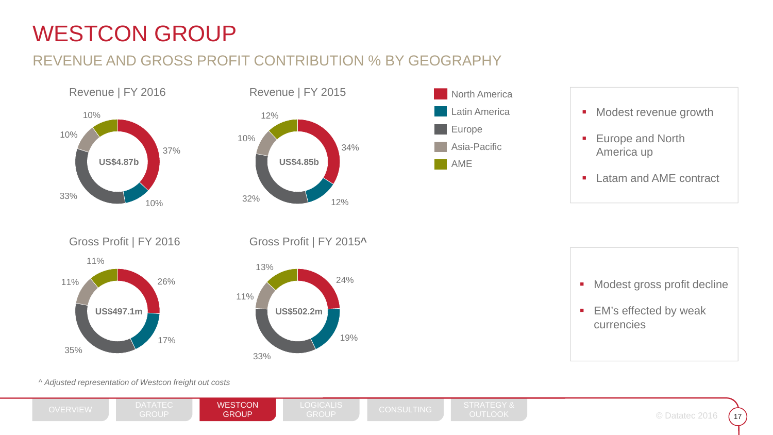### REVENUE AND GROSS PROFIT CONTRIBUTION % BY GEOGRAPHY







- **•** Modest revenue growth
- $\blacksquare$  Europe and North America up
- $\overline{\phantom{a}}$ Latam and AME contract









*^ Adjusted representation of Westcon freight out costs*

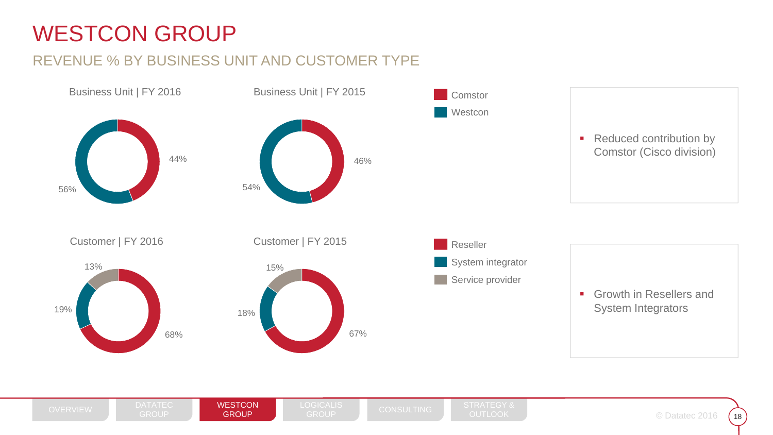### REVENUE % BY BUSINESS UNIT AND CUSTOMER TYPE

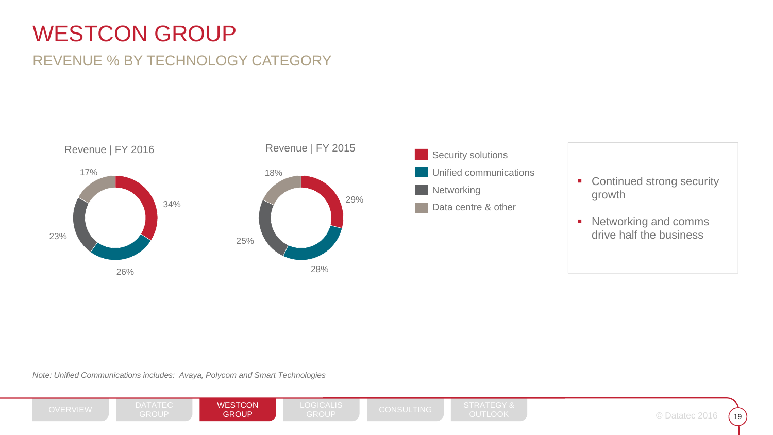### REVENUE % BY TECHNOLOGY CATEGORY





- Continued strong security growth
- Networking and comms drive half the business

*Note: Unified Communications includes: Avaya, Polycom and Smart Technologies*

**WESTCON GROUP** 

OVERVIEW DATATEC **WESTCON L**OGICALIS CONSULTING STRATEGY &<br>GROUP **GROUP GROUP** GROUP GROUP

DATATEC

© Datatec 2016 (19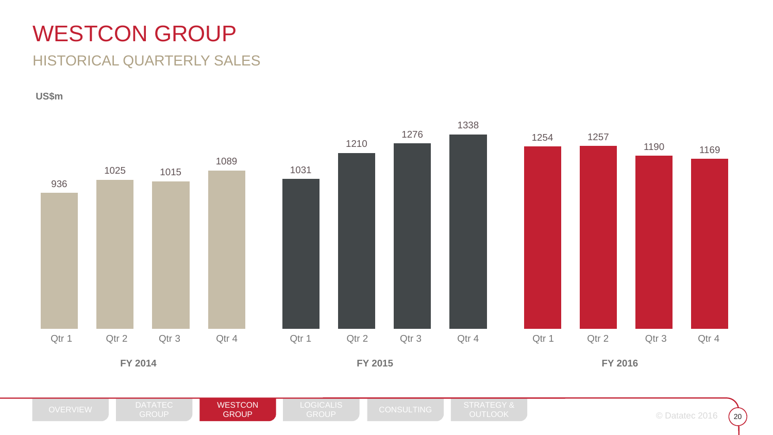### HISTORICAL QUARTERLY SALES

**US\$m**



DATATEC

 $\frac{20}{2}$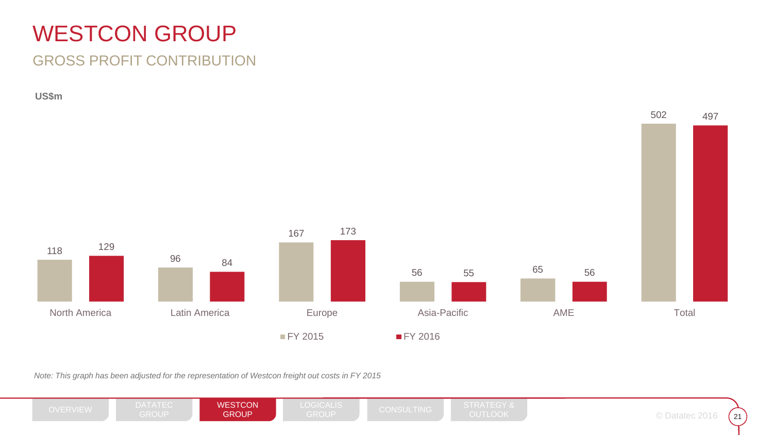### GROSS PROFIT CONTRIBUTION

**US\$m**



*Note: This graph has been adjusted for the representation of Westcon freight out costs in FY 2015*

DATATEC **WESTCON GROUP** OVERVIEW DATATEC **WESTCON L**OGICALIS CONSULTING STRATEGY &<br>GROUP **GROUP GROUP** GROUP GROUP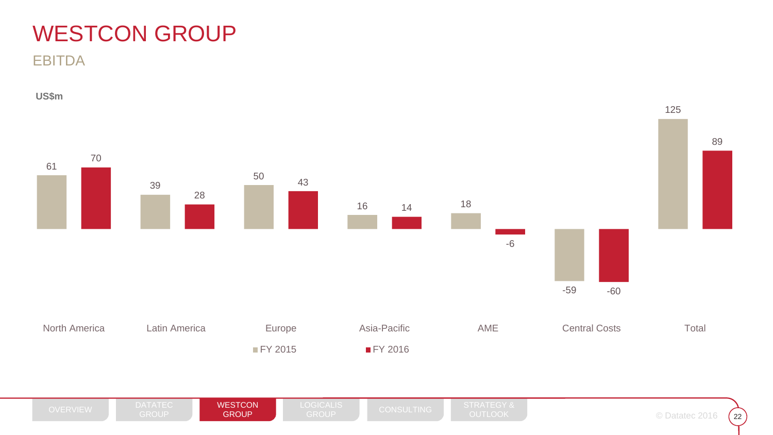EBITDA

**US\$m**

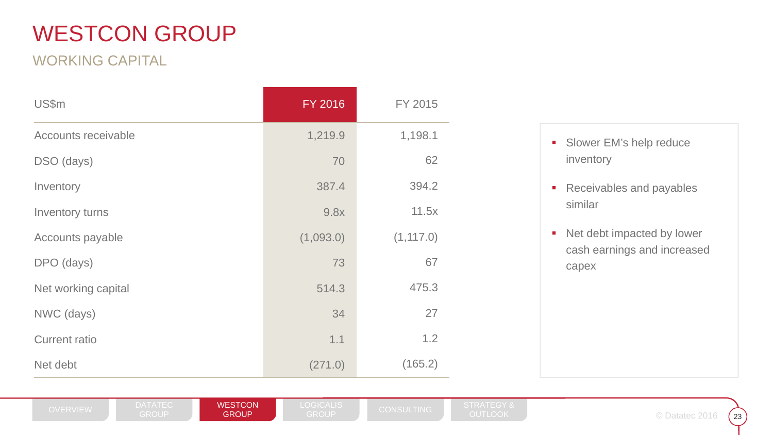### WORKING CAPITAL

| US\$m                | FY 2016   | FY 2015    |
|----------------------|-----------|------------|
| Accounts receivable  | 1,219.9   | 1,198.1    |
| DSO (days)           | 70        | 62         |
| Inventory            | 387.4     | 394.2      |
| Inventory turns      | 9.8x      | 11.5x      |
| Accounts payable     | (1,093.0) | (1, 117.0) |
| DPO (days)           | 73        | 67         |
| Net working capital  | 514.3     | 475.3      |
| NWC (days)           | 34        | 27         |
| <b>Current ratio</b> | 1.1       | 1.2        |
| Net debt             | (271.0)   | (165.2)    |

**WESTCON GROUP** 

- **Slower EM's help reduce** inventory
- $\blacksquare$  Receivables and payables similar
- $\blacksquare$  Net debt impacted by lower cash earnings and increased capex

 $23$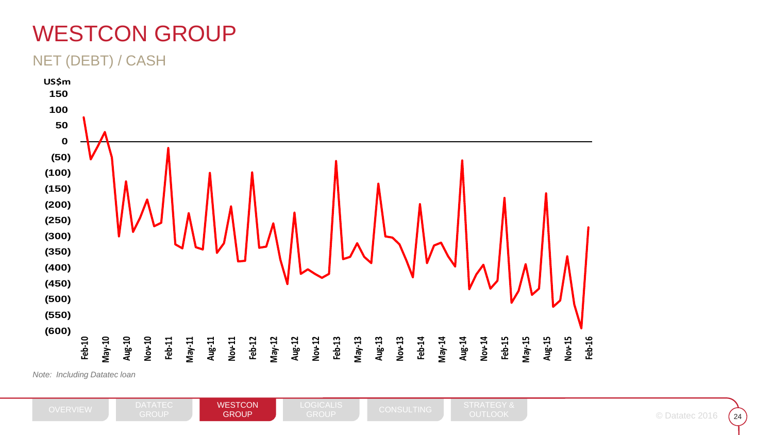#### NET (DEBT) / CASH



*Note: Including Datatec loan*

 $24$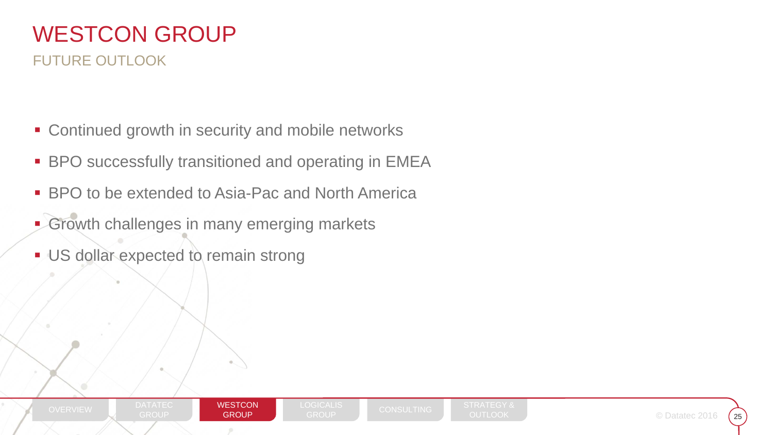### WESTCON GROUPFUTURE OUTLOOK

- **EX Continued growth in security and mobile networks**
- $\blacksquare$ BPO successfully transitioned and operating in EMEA
- BPO to be extended to Asia-Pac and North America
- **Growth challenges in many emerging markets**
- **US dollar expected to remain strong**

DATATEC

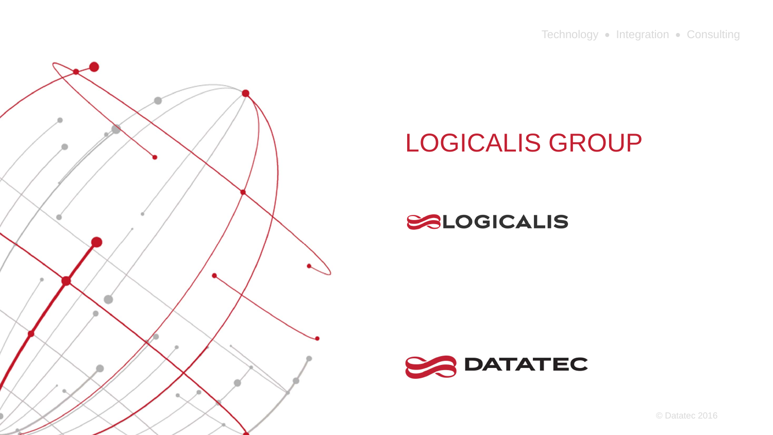Technology • Integration • Consulting



# LOGICALIS GROUP

### SALOGICALIS



© Datatec 2016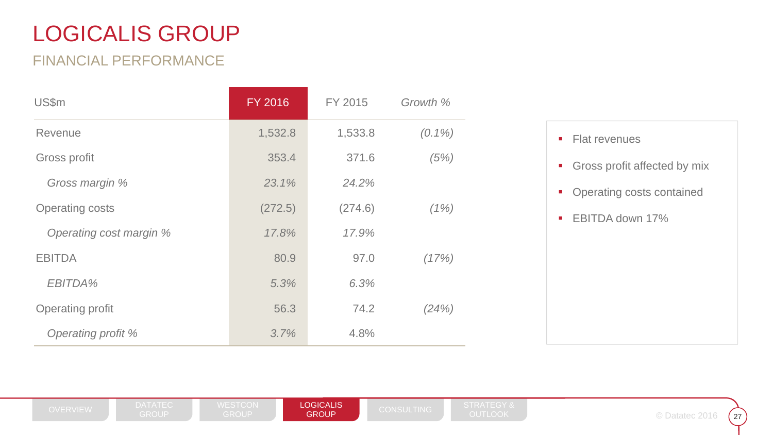### FINANCIAL PERFORMANCE

| US\$m                   | <b>FY 2016</b> | FY 2015 | Growth %  |
|-------------------------|----------------|---------|-----------|
| Revenue                 | 1,532.8        | 1,533.8 | $(0.1\%)$ |
| Gross profit            | 353.4          | 371.6   | (5%)      |
| Gross margin %          | 23.1%          | 24.2%   |           |
| <b>Operating costs</b>  | (272.5)        | (274.6) | (1%)      |
| Operating cost margin % | 17.8%          | 17.9%   |           |
| <b>EBITDA</b>           | 80.9           | 97.0    | (17%)     |
| EBITDA%                 | 5.3%           | 6.3%    |           |
| <b>Operating profit</b> | 56.3           | 74.2    | (24%)     |
| Operating profit %      | 3.7%           | 4.8%    |           |



LOGICALIS **GROUP** 

OVERVIEW DATATEC WESTCON **LOGICALIS** CONSULTING STRATEGY &<br>GROUP GROUP GROUP CONSULTING OUTLOOK

 $27$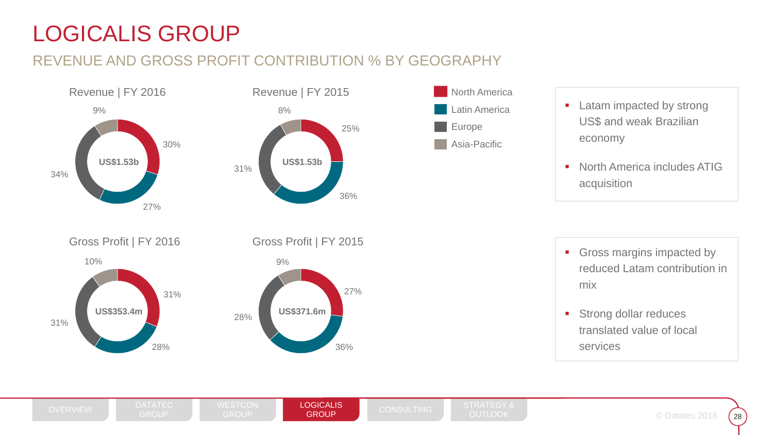### REVENUE AND GROSS PROFIT CONTRIBUTION % BY GEOGRAPHY







- **Latam impacted by strong** US\$ and weak Brazilian economy
- $\mathcal{L}_{\mathcal{A}}$  North America includes ATIG acquisition

31%28%31%10%Gross Profit | FY 2016 **US\$353.4m**



Gross margins impacted by reduced Latam contribution in mix

**Strong dollar reduces** translated value of local services

**LOGICALIS GROUP**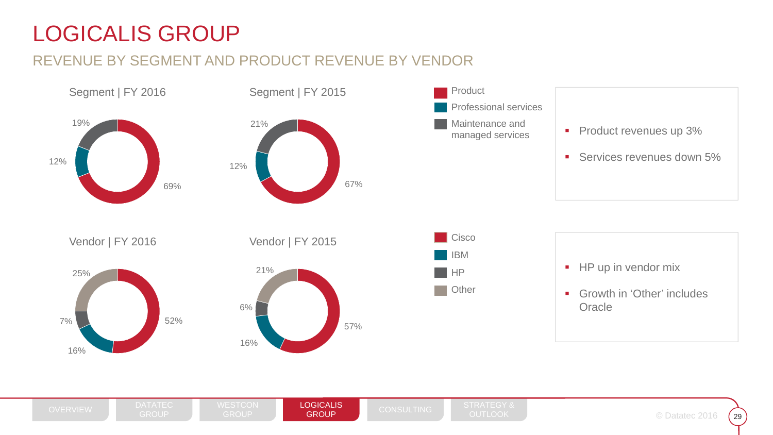### REVENUE BY SEGMENT AND PRODUCT REVENUE BY VENDOR





29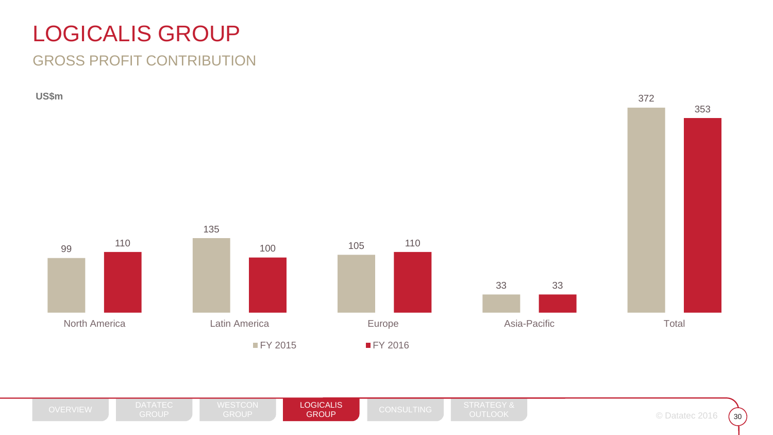### GROSS PROFIT CONTRIBUTION

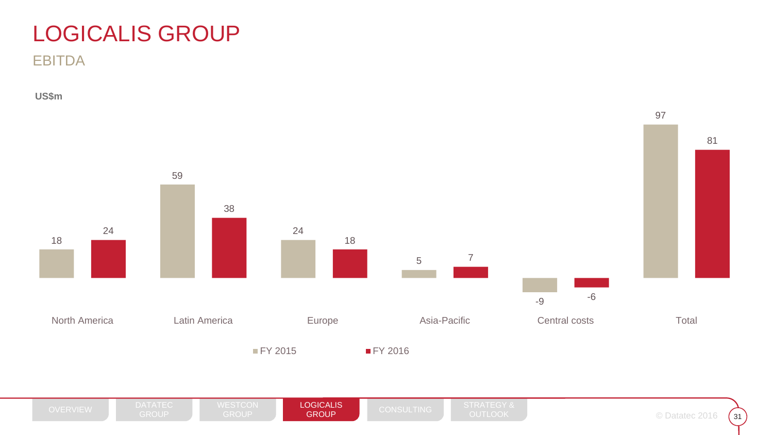**EBITDA** 

**US\$m**

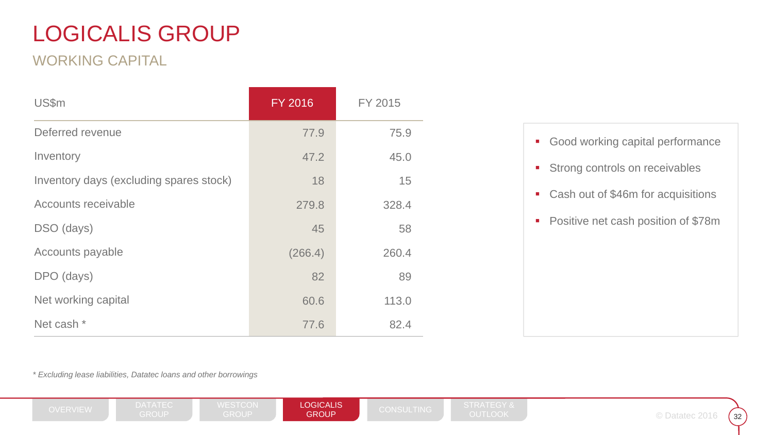### WORKING CAPITAL

| US\$m                                   | <b>FY 2016</b> | FY 2015 |
|-----------------------------------------|----------------|---------|
| Deferred revenue                        | 77.9           | 75.9    |
| Inventory                               | 47.2           | 45.0    |
| Inventory days (excluding spares stock) | 18             | 15      |
| Accounts receivable                     | 279.8          | 328.4   |
| DSO (days)                              | 45             | 58      |
| Accounts payable                        | (266.4)        | 260.4   |
| DPO (days)                              | 82             | 89      |
| Net working capital                     | 60.6           | 113.0   |
| Net cash *                              | 77.6           | 82.4    |

- **Good working capital performance**
- **Strong controls on receivables**
- Cash out of \$46m for acquisitions
- **Positive net cash position of \$78m**

*\* Excluding lease liabilities, Datatec loans and other borrowings*

**LOGICALIS GROUP** 

 $32$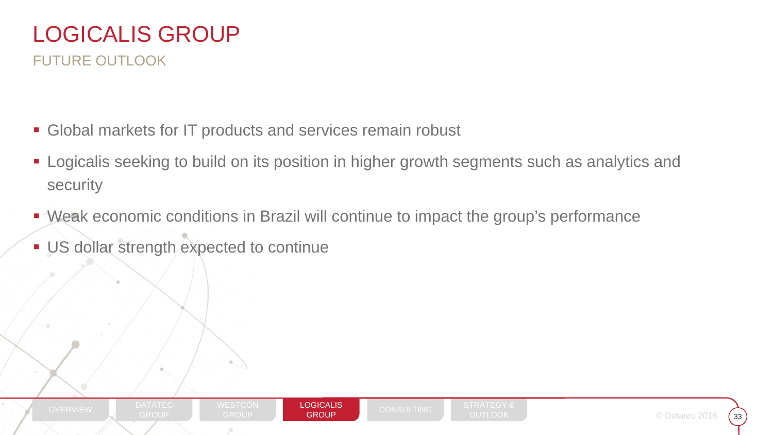### LOGICALIS GROUPFUTURE OUTLOOK

- **Global markets for IT products and services remain robust**
- Logicalis seeking to build on its position in higher growth segments such as analytics and security
- Weak economic conditions in Brazil will continue to impact the group's performance
- **US dollar strength expected to continue**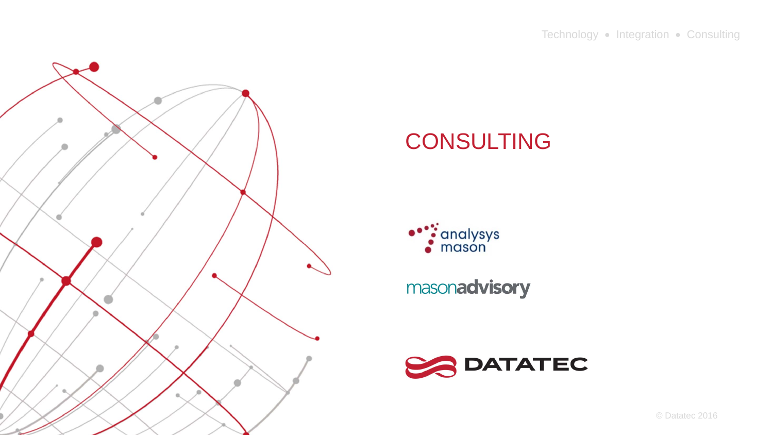

### CONSULTING



masonadvisory

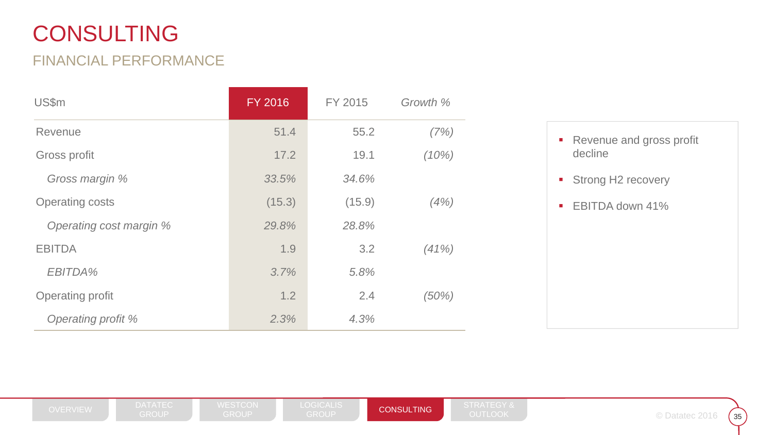## CONSULTING

#### FINANCIAL PERFORMANCE

| US\$m                   | <b>FY 2016</b> | FY 2015 | Growth % |                                                       |
|-------------------------|----------------|---------|----------|-------------------------------------------------------|
| Revenue                 | 51.4           | 55.2    | (7%)     | Revenue and gross profit<br>$\blacksquare$            |
| Gross profit            | 17.2           | 19.1    | (10%)    | decline                                               |
| Gross margin %          | 33.5%          | 34.6%   |          | <b>Strong H2 recovery</b><br>$\overline{\phantom{a}}$ |
| <b>Operating costs</b>  | (15.3)         | (15.9)  | (4%)     | EBITDA down 41%<br>$\mathcal{L}_{\mathcal{A}}$        |
| Operating cost margin % | 29.8%          | 28.8%   |          |                                                       |
| <b>EBITDA</b>           | 1.9            | 3.2     | (41%)    |                                                       |
| EBITDA%                 | 3.7%           | 5.8%    |          |                                                       |
| Operating profit        | 1.2            | 2.4     | (50%)    |                                                       |
| Operating profit %      | 2.3%           | 4.3%    |          |                                                       |

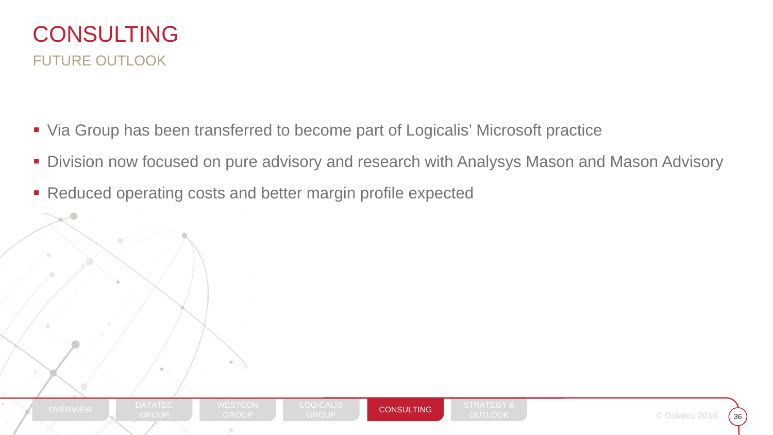

- Via Group has been transferred to become part of Logicalis' Microsoft practice
- $\mathcal{L}_{\mathcal{A}}$ Division now focused on pure advisory and research with Analysys Mason and Mason Advisory
- Reduced operating costs and better margin profile expected

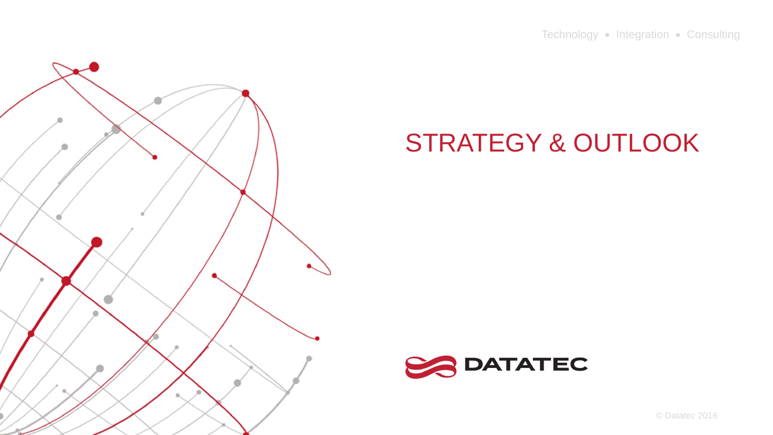Technology • Integration • Consulting



# STRATEGY & OUTLOOK



© Datatec 2016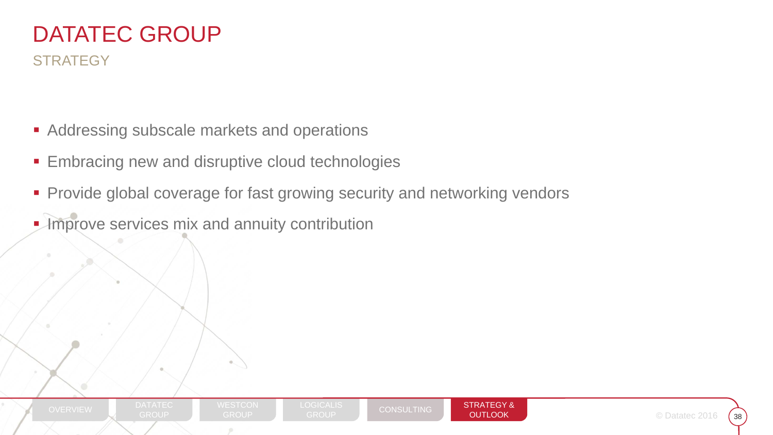### DATATEC GROUP**STRATEGY**

- **Addressing subscale markets and operations**
- Embracing new and disruptive cloud technologies
- Provide global coverage for fast growing security and networking vendors
- **Improve services mix and annuity contribution**

DATATEC



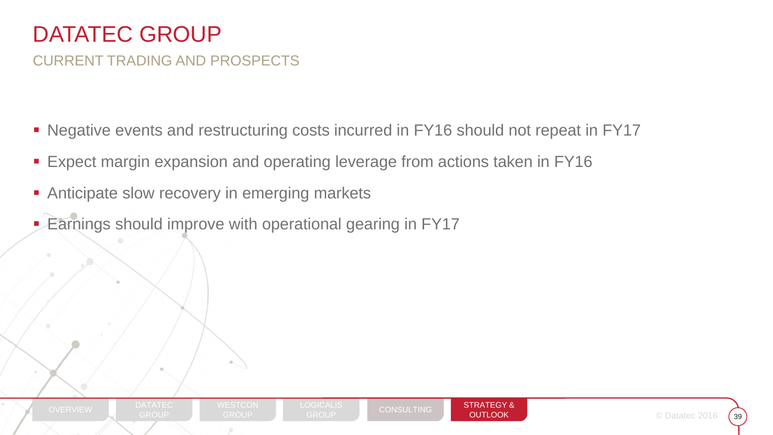### CURRENT TRADING AND PROSPECTS

- Negative events and restructuring costs incurred in FY16 should not repeat in FY17
- Expect margin expansion and operating leverage from actions taken in FY16
- $\blacksquare$ Anticipate slow recovery in emerging markets
- $\blacksquare$ Earnings should improve with operational gearing in FY17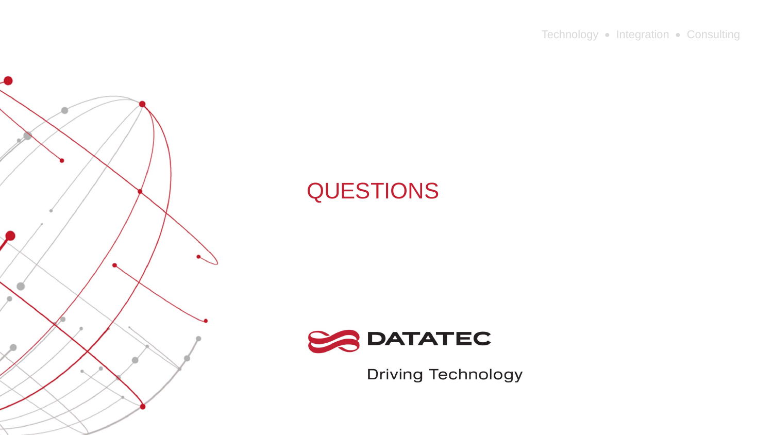Technology • Integration • Consulting



# QUESTIONS

![](_page_39_Picture_3.jpeg)

**Driving Technology**